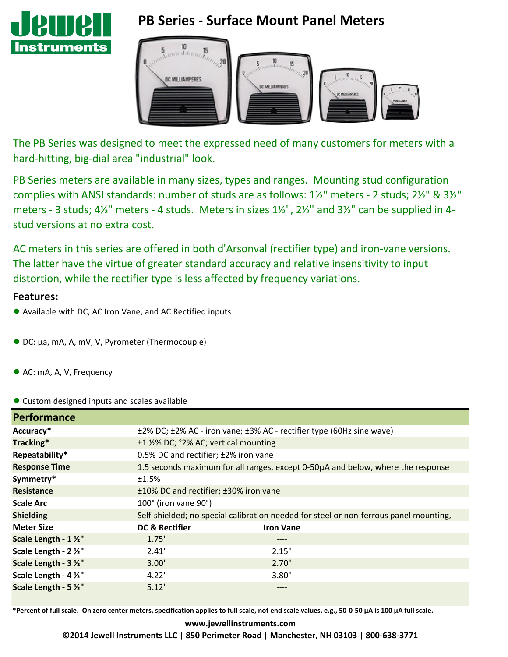

# **PB Series - Surface Mount Panel Meters**



The PB Series was designed to meet the expressed need of many customers for meters with a hard-hitting, big-dial area "industrial" look.

PB Series meters are available in many sizes, types and ranges. Mounting stud configuration complies with ANSI standards: number of studs are as follows: 1½" meters - 2 studs; 2½" & 3½" meters - 3 studs; 4½" meters - 4 studs. Meters in sizes 1½", 2½" and 3½" can be supplied in 4 stud versions at no extra cost.

AC meters in this series are offered in both d'Arsonval (rectifier type) and iron-vane versions. The latter have the virtue of greater standard accuracy and relative insensitivity to input distortion, while the rectifier type is less affected by frequency variations.

#### **Features:**

- Available with DC, AC Iron Vane, and AC Rectified inputs
- DC: µa, mA, A, mV, V, Pyrometer (Thermocouple)
- AC: mA, A, V, Frequency

● Custom designed inputs and scales available

| <b>Performance</b>    |                                                                                       |                  |  |  |  |  |
|-----------------------|---------------------------------------------------------------------------------------|------------------|--|--|--|--|
| Accuracy*             | ±2% DC; ±2% AC - iron vane; ±3% AC - rectifier type (60Hz sine wave)                  |                  |  |  |  |  |
| Tracking*             | ±1 1/2% DC; °2% AC; vertical mounting                                                 |                  |  |  |  |  |
| Repeatability*        | 0.5% DC and rectifier; ±2% iron vane                                                  |                  |  |  |  |  |
| <b>Response Time</b>  | 1.5 seconds maximum for all ranges, except 0-50µA and below, where the response       |                  |  |  |  |  |
| Symmetry*             | ±1.5%                                                                                 |                  |  |  |  |  |
| <b>Resistance</b>     | ±10% DC and rectifier; ±30% iron vane                                                 |                  |  |  |  |  |
| <b>Scale Arc</b>      | 100° (iron vane 90°)                                                                  |                  |  |  |  |  |
| <b>Shielding</b>      | Self-shielded; no special calibration needed for steel or non-ferrous panel mounting, |                  |  |  |  |  |
| <b>Meter Size</b>     | <b>DC &amp; Rectifier</b>                                                             | <b>Iron Vane</b> |  |  |  |  |
| Scale Length - 1 1/2" | 1.75"                                                                                 | ----             |  |  |  |  |
| Scale Length - 2 1/2" | 2.41"                                                                                 | 2.15"            |  |  |  |  |
| Scale Length - 3 1/2" | 3.00"                                                                                 | 2.70"            |  |  |  |  |
| Scale Length - 4 1/2" | 4.22"                                                                                 | 3.80"            |  |  |  |  |
| Scale Length - 5 %"   | 5.12"                                                                                 |                  |  |  |  |  |

**\*Percent of full scale. On zero center meters, specification applies to full scale, not end scale values, e.g., 50-0-50 µA is 100 µA full scale.**